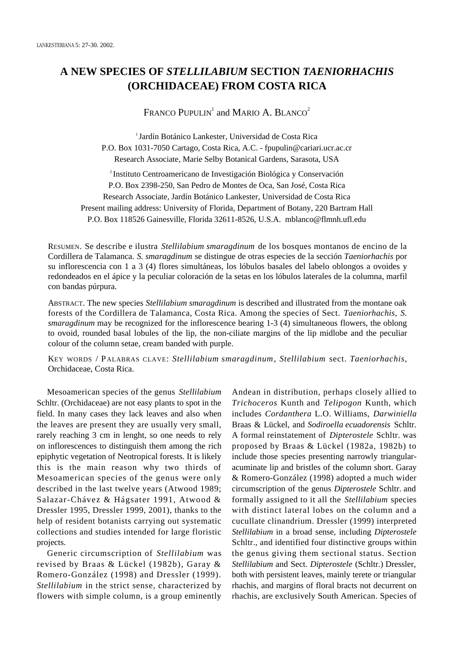## **A NEW SPECIES OF** *STELLILABIUM* **SECTION** *TAENIORHACHIS* **(ORCHIDACEAE) FROM COSTA RICA**

FRANCO  $PUPULIN<sup>1</sup>$  and MARIO A. BLANCO<sup>2</sup>

<sup>1</sup>Jardín Botánico Lankester, Universidad de Costa Rica P.O. Box 1031-7050 Cartago, Costa Rica, A.C. - fpupulin@cariari.ucr.ac.cr Research Associate, Marie Selby Botanical Gardens, Sarasota, USA

<sup>2</sup>Instituto Centroamericano de Investigación Biológica y Conservación P.O. Box 2398-250, San Pedro de Montes de Oca, San José, Costa Rica Research Associate, Jardín Botánico Lankester, Universidad de Costa Rica Present mailing address: University of Florida, Department of Botany, 220 Bartram Hall P.O. Box 118526 Gainesville, Florida 32611-8526, U.S.A. mblanco@flmnh.ufl.edu

RESUMEN. Se describe e ilustra *Stellilabium smaragdinum* de los bosques montanos de encino de la Cordillera de Talamanca. *S. smaragdinum* se distingue de otras especies de la sección *Taeniorhachis* por su inflorescencia con 1 a 3 (4) flores simultáneas, los lóbulos basales del labelo oblongos a ovoides y redondeados en el ápice y la peculiar coloración de la setas en los lóbulos laterales de la columna, marfil con bandas púrpura.

ABSTRACT. The new species *Stellilabium smaragdinum* is described and illustrated from the montane oak forests of the Cordillera de Talamanca, Costa Rica. Among the species of Sect. *Taeniorhachis*, *S. smaragdinum* may be recognized for the inflorescence bearing 1-3 (4) simultaneous flowers, the oblong to ovoid, rounded basal lobules of the lip, the non-ciliate margins of the lip midlobe and the peculiar colour of the column setae, cream banded with purple.

KEY WORDS / PALABRAS CLAVE: Stellilabium smaragdinum, Stellilabium sect. Taeniorhachis, Orchidaceae, Costa Rica.

Mesoamerican species of the genus *Stellilabium* Schltr. (Orchidaceae) are not easy plants to spot in the field. In many cases they lack leaves and also when the leaves are present they are usually very small, rarely reaching 3 cm in lenght, so one needs to rely on inflorescences to distinguish them among the rich epiphytic vegetation of Neotropical forests. It is likely this is the main reason why two thirds of Mesoamerican species of the genus were only described in the last twelve years (Atwood 1989; Salazar-Chávez & Hágsater 1991, Atwood & Dressler 1995, Dressler 1999, 2001), thanks to the help of resident botanists carrying out systematic collections and studies intended for large floristic projects.

Generic circumscription of *Stellilabium* was revised by Braas & Lückel (1982b), Garay & Romero-González (1998) and Dressler (1999). *Stellilabium* in the strict sense, characterized by flowers with simple column, is a group eminently Andean in distribution, perhaps closely allied to *Trichoceros* Kunth and *Telipogon* Kunth, which includes *Cordanthera* L.O. Williams, *Darwiniella* Braas & Lückel, and *Sodiroella ecuadorensis* Schltr. A formal reinstatement of *Dipterostele* Schltr. was proposed by Braas & Lückel (1982a, 1982b) to include those species presenting narrowly triangularacuminate lip and bristles of the column short. Garay & Romero-González (1998) adopted a much wider circumscription of the genus *Dipterostele* Schltr. and formally assigned to it all the *Stellilabium* species with distinct lateral lobes on the column and a cucullate clinandrium. Dressler (1999) interpreted *Stellilabium* in a broad sense, including *Dipterostele* Schltr., and identified four distinctive groups within the genus giving them sectional status. Section *Stellilabium* and Sect. *Dipterostele* (Schltr.) Dressler, both with persistent leaves, mainly terete or triangular rhachis, and margins of floral bracts not decurrent on rhachis, are exclusively South American. Species of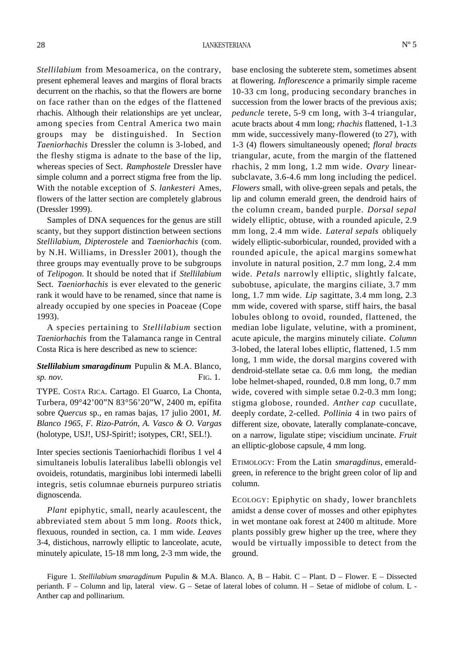*Stellilabium* from Mesoamerica, on the contrary, present ephemeral leaves and margins of floral bracts decurrent on the rhachis, so that the flowers are borne on face rather than on the edges of the flattened rhachis. Although their relationships are yet unclear, among species from Central America two main groups may be distinguished. In Section *Taeniorhachis* Dressler the column is 3-lobed, and the fleshy stigma is adnate to the base of the lip, whereas species of Sect. *Ramphostele* Dressler have simple column and a porrect stigma free from the lip. With the notable exception of *S. lankesteri* Ames, flowers of the latter section are completely glabrous (Dressler 1999).

Samples of DNA sequences for the genus are still scanty, but they support distinction between sections *Stellilabium, Dipterostele and Taeniorhachis (com.* by N.H. Williams, in Dressler 2001), though the three groups may eventually prove to be subgroups of *Telipogon*. It should be noted that if *Stellilabium* Sect. *Taeniorhachis* is ever elevated to the generic rank it would have to be renamed, since that name is already occupied by one species in Poaceae (Cope 1993).

A species pertaining to *Stellilabium* section *Taeniorhachis* from the Talamanca range in Central Costa Rica is here described as new to science:

## *Stellilabium smaragdinum* Pupulin & M.A. Blanco, *sp. nov.* FIG. 1.

TYPE. COSTA RICA. Cartago. El Guarco, La Chonta, Turbera, 09°42'00"N 83°56'20"W, 2400 m, epífita sobre *Quercus* sp., en ramas bajas, 17 julio 2001, *M. Blanco 1965, F. Rizo-Patrón, A. Vasco & O. Vargas* (holotype, USJ!, USJ-Spirit!; isotypes, CR!, SEL!).

Inter species sectionis Taeniorhachidi floribus 1 vel 4 simultaneis lobulis lateralibus labelli oblongis vel ovoideis, rotundatis, marginibus lobi intermedi labelli integris, setis columnae eburneis purpureo striatis dignoscenda.

*Plant* epiphytic, small, nearly acaulescent, the abbreviated stem about 5 mm long. *Roots* thick, flexuous, rounded in section, ca. 1 mm wide. *Leaves* 3-4, distichous, narrowly elliptic to lanceolate, acute, minutely apiculate, 15-18 mm long, 2-3 mm wide, the

base enclosing the subterete stem, sometimes absent at flowering. *Inflorescence* a primarily simple raceme 10-33 cm long, producing secondary branches in succession from the lower bracts of the previous axis; *peduncle* terete, 5-9 cm long, with 3-4 triangular, acute bracts about 4 mm long; *rhachis* flattened, 1-1.3 mm wide, successively many-flowered (to 27), with 1-3 (4) flowers simultaneously opened; *floral bracts* triangular, acute, from the margin of the flattened rhachis, 2 mm long, 1.2 mm wide. Ovary linearsubclavate, 3.6-4.6 mm long including the pedicel. *Flowers* small, with olive-green sepals and petals, the lip and column emerald green, the dendroid hairs of the column cream, banded purple. *Dorsal sepal* widely elliptic, obtuse, with a rounded apicule, 2.9 mm long, 2.4 mm wide. *Lateral sepals* obliquely widely elliptic-suborbicular, rounded, provided with a rounded apicule, the apical margins somewhat involute in natural position, 2.7 mm long, 2.4 mm wide. *Petals* narrowly elliptic, slightly falcate, subobtuse, apiculate, the margins ciliate, 3.7 mm long, 1.7 mm wide. *Lip* sagittate, 3.4 mm long, 2.3 mm wide, covered with sparse, stiff hairs, the basal lobules oblong to ovoid, rounded, flattened, the median lobe ligulate, velutine, with a prominent, acute apicule, the margins minutely ciliate. *Column* 3-lobed, the lateral lobes elliptic, flattened, 1.5 mm long, 1 mm wide, the dorsal margins covered with dendroid-stellate setae ca. 0.6 mm long, the median lobe helmet-shaped, rounded, 0.8 mm long, 0.7 mm wide, covered with simple setae 0.2-0.3 mm long; stigma globose, rounded. Anther cap cucullate, deeply cordate, 2-celled. *Pollinia* 4 in two pairs of different size, obovate, laterally complanate-concave, on a narrow, ligulate stipe; viscidium uncinate. *Fruit* an elliptic-globose capsule, 4 mm long.

ETIMOLOGY: From the Latin *smaragdinus*, emeraldgreen, in reference to the bright green color of lip and column.

ECOLOGY: Epiphytic on shady, lower branchlets amidst a dense cover of mosses and other epiphytes in wet montane oak forest at 2400 m altitude. More plants possibly grew higher up the tree, where they would be virtually impossible to detect from the ground.

Figure 1. *Stellilabium smaragdinum* Pupulin & M.A. Blanco. A, B – Habit. C – Plant. D – Flower. E – Dissected perianth. F – Column and lip, lateral view. G – Setae of lateral lobes of column. H – Setae of midlobe of colum. L - Anther cap and pollinarium.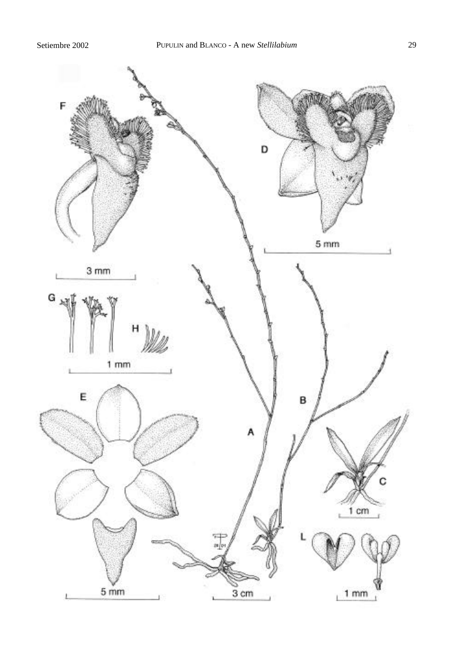